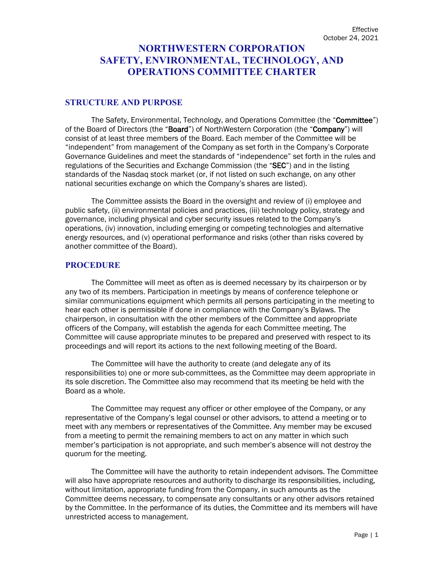# **NORTHWESTERN CORPORATION SAFETY, ENVIRONMENTAL, TECHNOLOGY, AND OPERATIONS COMMITTEE CHARTER**

# **STRUCTURE AND PURPOSE**

The Safety, Environmental, Technology, and Operations Committee (the "Committee") of the Board of Directors (the "Board") of NorthWestern Corporation (the "Company") will consist of at least three members of the Board. Each member of the Committee will be "independent" from management of the Company as set forth in the Company's Corporate Governance Guidelines and meet the standards of "independence" set forth in the rules and regulations of the Securities and Exchange Commission (the "SEC") and in the listing standards of the Nasdaq stock market (or, if not listed on such exchange, on any other national securities exchange on which the Company's shares are listed).

The Committee assists the Board in the oversight and review of (i) employee and public safety, (ii) environmental policies and practices, (iii) technology policy, strategy and governance, including physical and cyber security issues related to the Company's operations, (iv) innovation, including emerging or competing technologies and alternative energy resources, and (v) operational performance and risks (other than risks covered by another committee of the Board).

## **PROCEDURE**

The Committee will meet as often as is deemed necessary by its chairperson or by any two of its members. Participation in meetings by means of conference telephone or similar communications equipment which permits all persons participating in the meeting to hear each other is permissible if done in compliance with the Company's Bylaws. The chairperson, in consultation with the other members of the Committee and appropriate officers of the Company, will establish the agenda for each Committee meeting. The Committee will cause appropriate minutes to be prepared and preserved with respect to its proceedings and will report its actions to the next following meeting of the Board.

The Committee will have the authority to create (and delegate any of its responsibilities to) one or more sub-committees, as the Committee may deem appropriate in its sole discretion. The Committee also may recommend that its meeting be held with the Board as a whole.

The Committee may request any officer or other employee of the Company, or any representative of the Company's legal counsel or other advisors, to attend a meeting or to meet with any members or representatives of the Committee. Any member may be excused from a meeting to permit the remaining members to act on any matter in which such member's participation is not appropriate, and such member's absence will not destroy the quorum for the meeting.

The Committee will have the authority to retain independent advisors. The Committee will also have appropriate resources and authority to discharge its responsibilities, including, without limitation, appropriate funding from the Company, in such amounts as the Committee deems necessary, to compensate any consultants or any other advisors retained by the Committee. In the performance of its duties, the Committee and its members will have unrestricted access to management.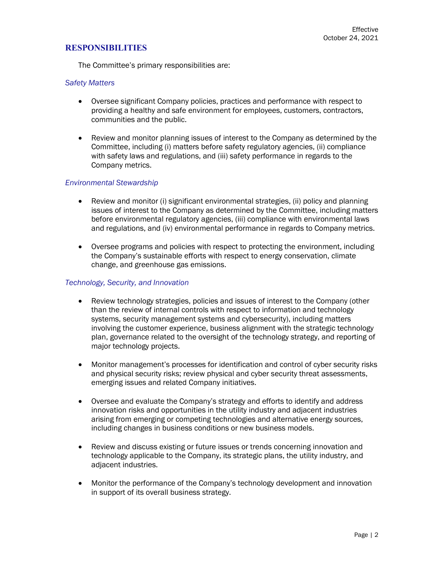# **RESPONSIBILITIES**

The Committee's primary responsibilities are:

#### *Safety Matters*

- Oversee significant Company policies, practices and performance with respect to providing a healthy and safe environment for employees, customers, contractors, communities and the public.
- Review and monitor planning issues of interest to the Company as determined by the Committee, including (i) matters before safety regulatory agencies, (ii) compliance with safety laws and regulations, and (iii) safety performance in regards to the Company metrics.

#### *Environmental Stewardship*

- Review and monitor (i) significant environmental strategies, (ii) policy and planning issues of interest to the Company as determined by the Committee, including matters before environmental regulatory agencies, (iii) compliance with environmental laws and regulations, and (iv) environmental performance in regards to Company metrics.
- Oversee programs and policies with respect to protecting the environment, including the Company's sustainable efforts with respect to energy conservation, climate change, and greenhouse gas emissions.

#### *Technology, Security, and Innovation*

- Review technology strategies, policies and issues of interest to the Company (other than the review of internal controls with respect to information and technology systems, security management systems and cybersecurity), including matters involving the customer experience, business alignment with the strategic technology plan, governance related to the oversight of the technology strategy, and reporting of major technology projects.
- Monitor management's processes for identification and control of cyber security risks and physical security risks; review physical and cyber security threat assessments, emerging issues and related Company initiatives.
- Oversee and evaluate the Company's strategy and efforts to identify and address innovation risks and opportunities in the utility industry and adjacent industries arising from emerging or competing technologies and alternative energy sources, including changes in business conditions or new business models.
- Review and discuss existing or future issues or trends concerning innovation and technology applicable to the Company, its strategic plans, the utility industry, and adiacent industries.
- Monitor the performance of the Company's technology development and innovation in support of its overall business strategy.